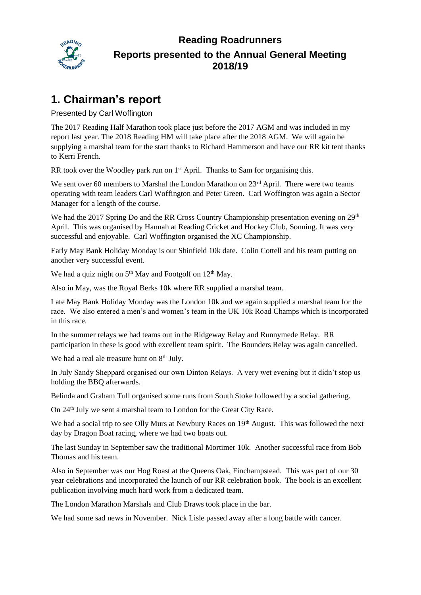

### **Reading Roadrunners Reports presented to the Annual General Meeting 2018/19**

## **1. Chairman's report**

Presented by Carl Woffington

The 2017 Reading Half Marathon took place just before the 2017 AGM and was included in my report last year. The 2018 Reading HM will take place after the 2018 AGM. We will again be supplying a marshal team for the start thanks to Richard Hammerson and have our RR kit tent thanks to Kerri French.

RR took over the Woodley park run on  $1<sup>st</sup>$  April. Thanks to Sam for organising this.

We sent over 60 members to Marshal the London Marathon on 23<sup>rd</sup> April. There were two teams operating with team leaders Carl Woffington and Peter Green. Carl Woffington was again a Sector Manager for a length of the course.

We had the 2017 Spring Do and the RR Cross Country Championship presentation evening on 29<sup>th</sup> April. This was organised by Hannah at Reading Cricket and Hockey Club, Sonning. It was very successful and enjoyable. Carl Woffington organised the XC Championship.

Early May Bank Holiday Monday is our Shinfield 10k date. Colin Cottell and his team putting on another very successful event.

We had a quiz night on  $5<sup>th</sup>$  May and Footgolf on  $12<sup>th</sup>$  May.

Also in May, was the Royal Berks 10k where RR supplied a marshal team.

Late May Bank Holiday Monday was the London 10k and we again supplied a marshal team for the race. We also entered a men's and women's team in the UK 10k Road Champs which is incorporated in this race.

In the summer relays we had teams out in the Ridgeway Relay and Runnymede Relay. RR participation in these is good with excellent team spirit. The Bounders Relay was again cancelled.

We had a real ale treasure hunt on  $8<sup>th</sup>$  July.

In July Sandy Sheppard organised our own Dinton Relays. A very wet evening but it didn't stop us holding the BBQ afterwards.

Belinda and Graham Tull organised some runs from South Stoke followed by a social gathering.

On 24<sup>th</sup> July we sent a marshal team to London for the Great City Race.

We had a social trip to see Olly Murs at Newbury Races on 19<sup>th</sup> August. This was followed the next day by Dragon Boat racing, where we had two boats out.

The last Sunday in September saw the traditional Mortimer 10k. Another successful race from Bob Thomas and his team.

Also in September was our Hog Roast at the Queens Oak, Finchampstead. This was part of our 30 year celebrations and incorporated the launch of our RR celebration book. The book is an excellent publication involving much hard work from a dedicated team.

The London Marathon Marshals and Club Draws took place in the bar.

We had some sad news in November. Nick Lisle passed away after a long battle with cancer.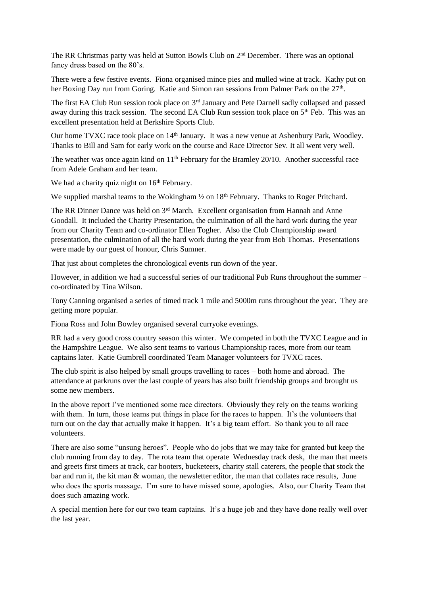The RR Christmas party was held at Sutton Bowls Club on 2nd December. There was an optional fancy dress based on the 80's.

There were a few festive events. Fiona organised mince pies and mulled wine at track. Kathy put on her Boxing Day run from Goring. Katie and Simon ran sessions from Palmer Park on the 27<sup>th</sup>.

The first EA Club Run session took place on 3<sup>rd</sup> January and Pete Darnell sadly collapsed and passed away during this track session. The second EA Club Run session took place on 5<sup>th</sup> Feb. This was an excellent presentation held at Berkshire Sports Club.

Our home TVXC race took place on 14<sup>th</sup> January. It was a new venue at Ashenbury Park, Woodley. Thanks to Bill and Sam for early work on the course and Race Director Sev. It all went very well.

The weather was once again kind on 11<sup>th</sup> February for the Bramley 20/10. Another successful race from Adele Graham and her team.

We had a charity quiz night on  $16<sup>th</sup>$  February.

We supplied marshal teams to the Wokingham  $\frac{1}{2}$  on 18<sup>th</sup> February. Thanks to Roger Pritchard.

The RR Dinner Dance was held on  $3<sup>rd</sup>$  March. Excellent organisation from Hannah and Anne Goodall. It included the Charity Presentation, the culmination of all the hard work during the year from our Charity Team and co-ordinator Ellen Togher. Also the Club Championship award presentation, the culmination of all the hard work during the year from Bob Thomas. Presentations were made by our guest of honour, Chris Sumner.

That just about completes the chronological events run down of the year.

However, in addition we had a successful series of our traditional Pub Runs throughout the summer – co-ordinated by Tina Wilson.

Tony Canning organised a series of timed track 1 mile and 5000m runs throughout the year. They are getting more popular.

Fiona Ross and John Bowley organised several curryoke evenings.

RR had a very good cross country season this winter. We competed in both the TVXC League and in the Hampshire League. We also sent teams to various Championship races, more from our team captains later. Katie Gumbrell coordinated Team Manager volunteers for TVXC races.

The club spirit is also helped by small groups travelling to races – both home and abroad. The attendance at parkruns over the last couple of years has also built friendship groups and brought us some new members.

In the above report I've mentioned some race directors. Obviously they rely on the teams working with them. In turn, those teams put things in place for the races to happen. It's the volunteers that turn out on the day that actually make it happen. It's a big team effort. So thank you to all race volunteers.

There are also some "unsung heroes". People who do jobs that we may take for granted but keep the club running from day to day. The rota team that operate Wednesday track desk, the man that meets and greets first timers at track, car booters, bucketeers, charity stall caterers, the people that stock the bar and run it, the kit man & woman, the newsletter editor, the man that collates race results, June who does the sports massage. I'm sure to have missed some, apologies. Also, our Charity Team that does such amazing work.

A special mention here for our two team captains. It's a huge job and they have done really well over the last year.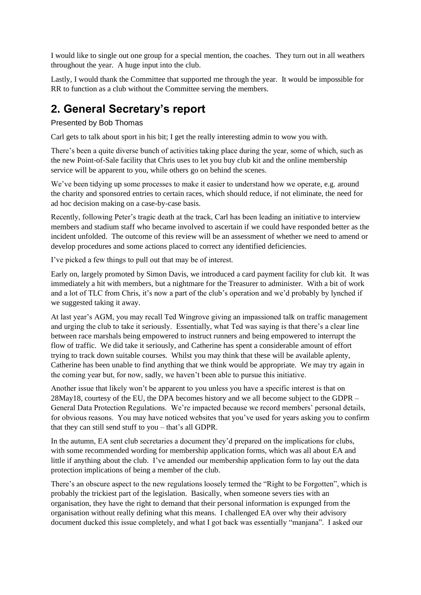I would like to single out one group for a special mention, the coaches. They turn out in all weathers throughout the year. A huge input into the club.

Lastly, I would thank the Committee that supported me through the year. It would be impossible for RR to function as a club without the Committee serving the members.

## **2. General Secretary's report**

### Presented by Bob Thomas

Carl gets to talk about sport in his bit; I get the really interesting admin to wow you with.

There's been a quite diverse bunch of activities taking place during the year, some of which, such as the new Point-of-Sale facility that Chris uses to let you buy club kit and the online membership service will be apparent to you, while others go on behind the scenes.

We've been tidying up some processes to make it easier to understand how we operate, e.g. around the charity and sponsored entries to certain races, which should reduce, if not eliminate, the need for ad hoc decision making on a case-by-case basis.

Recently, following Peter's tragic death at the track, Carl has been leading an initiative to interview members and stadium staff who became involved to ascertain if we could have responded better as the incident unfolded. The outcome of this review will be an assessment of whether we need to amend or develop procedures and some actions placed to correct any identified deficiencies.

I've picked a few things to pull out that may be of interest.

Early on, largely promoted by Simon Davis, we introduced a card payment facility for club kit. It was immediately a hit with members, but a nightmare for the Treasurer to administer. With a bit of work and a lot of TLC from Chris, it's now a part of the club's operation and we'd probably by lynched if we suggested taking it away.

At last year's AGM, you may recall Ted Wingrove giving an impassioned talk on traffic management and urging the club to take it seriously. Essentially, what Ted was saying is that there's a clear line between race marshals being empowered to instruct runners and being empowered to interrupt the flow of traffic. We did take it seriously, and Catherine has spent a considerable amount of effort trying to track down suitable courses. Whilst you may think that these will be available aplenty, Catherine has been unable to find anything that we think would be appropriate. We may try again in the coming year but, for now, sadly, we haven't been able to pursue this initiative.

Another issue that likely won't be apparent to you unless you have a specific interest is that on 28May18, courtesy of the EU, the DPA becomes history and we all become subject to the GDPR – General Data Protection Regulations. We're impacted because we record members' personal details, for obvious reasons. You may have noticed websites that you've used for years asking you to confirm that they can still send stuff to you – that's all GDPR.

In the autumn, EA sent club secretaries a document they'd prepared on the implications for clubs, with some recommended wording for membership application forms, which was all about EA and little if anything about the club. I've amended our membership application form to lay out the data protection implications of being a member of the club.

There's an obscure aspect to the new regulations loosely termed the "Right to be Forgotten", which is probably the trickiest part of the legislation. Basically, when someone severs ties with an organisation, they have the right to demand that their personal information is expunged from the organisation without really defining what this means. I challenged EA over why their advisory document ducked this issue completely, and what I got back was essentially "manjana". I asked our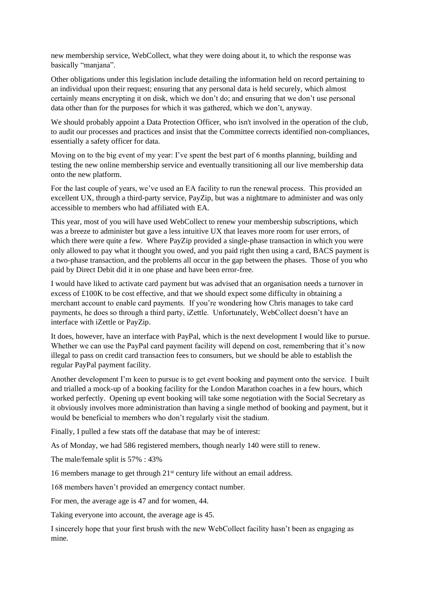new membership service, WebCollect, what they were doing about it, to which the response was basically "manjana".

Other obligations under this legislation include detailing the information held on record pertaining to an individual upon their request; ensuring that any personal data is held securely, which almost certainly means encrypting it on disk, which we don't do; and ensuring that we don't use personal data other than for the purposes for which it was gathered, which we don't, anyway.

We should probably appoint a Data Protection Officer, who isn't involved in the operation of the club, to audit our processes and practices and insist that the Committee corrects identified non-compliances, essentially a safety officer for data.

Moving on to the big event of my year: I've spent the best part of 6 months planning, building and testing the new online membership service and eventually transitioning all our live membership data onto the new platform.

For the last couple of years, we've used an EA facility to run the renewal process. This provided an excellent UX, through a third-party service, PayZip, but was a nightmare to administer and was only accessible to members who had affiliated with EA.

This year, most of you will have used WebCollect to renew your membership subscriptions, which was a breeze to administer but gave a less intuitive UX that leaves more room for user errors, of which there were quite a few. Where PayZip provided a single-phase transaction in which you were only allowed to pay what it thought you owed, and you paid right then using a card, BACS payment is a two-phase transaction, and the problems all occur in the gap between the phases. Those of you who paid by Direct Debit did it in one phase and have been error-free.

I would have liked to activate card payment but was advised that an organisation needs a turnover in excess of  $£100K$  to be cost effective, and that we should expect some difficulty in obtaining a merchant account to enable card payments. If you're wondering how Chris manages to take card payments, he does so through a third party, iZettle. Unfortunately, WebCollect doesn't have an interface with iZettle or PayZip.

It does, however, have an interface with PayPal, which is the next development I would like to pursue. Whether we can use the PayPal card payment facility will depend on cost, remembering that it's now illegal to pass on credit card transaction fees to consumers, but we should be able to establish the regular PayPal payment facility.

Another development I'm keen to pursue is to get event booking and payment onto the service. I built and trialled a mock-up of a booking facility for the London Marathon coaches in a few hours, which worked perfectly. Opening up event booking will take some negotiation with the Social Secretary as it obviously involves more administration than having a single method of booking and payment, but it would be beneficial to members who don't regularly visit the stadium.

Finally, I pulled a few stats off the database that may be of interest:

As of Monday, we had 586 registered members, though nearly 140 were still to renew.

The male/female split is 57% : 43%

16 members manage to get through 21st century life without an email address.

168 members haven't provided an emergency contact number.

For men, the average age is 47 and for women, 44.

Taking everyone into account, the average age is 45.

I sincerely hope that your first brush with the new WebCollect facility hasn't been as engaging as mine.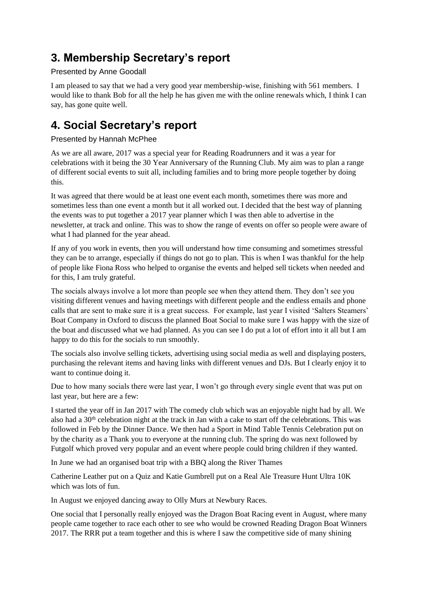## **3. Membership Secretary's report**

### Presented by Anne Goodall

I am pleased to say that we had a very good year membership-wise, finishing with 561 members. I would like to thank Bob for all the help he has given me with the online renewals which, I think I can say, has gone quite well.

## **4. Social Secretary's report**

### Presented by Hannah McPhee

As we are all aware, 2017 was a special year for Reading Roadrunners and it was a year for celebrations with it being the 30 Year Anniversary of the Running Club. My aim was to plan a range of different social events to suit all, including families and to bring more people together by doing this.

It was agreed that there would be at least one event each month, sometimes there was more and sometimes less than one event a month but it all worked out. I decided that the best way of planning the events was to put together a 2017 year planner which I was then able to advertise in the newsletter, at track and online. This was to show the range of events on offer so people were aware of what I had planned for the year ahead.

If any of you work in events, then you will understand how time consuming and sometimes stressful they can be to arrange, especially if things do not go to plan. This is when I was thankful for the help of people like Fiona Ross who helped to organise the events and helped sell tickets when needed and for this, I am truly grateful.

The socials always involve a lot more than people see when they attend them. They don't see you visiting different venues and having meetings with different people and the endless emails and phone calls that are sent to make sure it is a great success. For example, last year I visited 'Salters Steamers' Boat Company in Oxford to discuss the planned Boat Social to make sure I was happy with the size of the boat and discussed what we had planned. As you can see I do put a lot of effort into it all but I am happy to do this for the socials to run smoothly.

The socials also involve selling tickets, advertising using social media as well and displaying posters, purchasing the relevant items and having links with different venues and DJs. But I clearly enjoy it to want to continue doing it.

Due to how many socials there were last year, I won't go through every single event that was put on last year, but here are a few:

I started the year off in Jan 2017 with The comedy club which was an enjoyable night had by all. We also had a 30<sup>th</sup> celebration night at the track in Jan with a cake to start off the celebrations. This was followed in Feb by the Dinner Dance. We then had a Sport in Mind Table Tennis Celebration put on by the charity as a Thank you to everyone at the running club. The spring do was next followed by Futgolf which proved very popular and an event where people could bring children if they wanted.

In June we had an organised boat trip with a BBQ along the River Thames

Catherine Leather put on a Quiz and Katie Gumbrell put on a Real Ale Treasure Hunt Ultra 10K which was lots of fun.

In August we enjoyed dancing away to Olly Murs at Newbury Races.

One social that I personally really enjoyed was the Dragon Boat Racing event in August, where many people came together to race each other to see who would be crowned Reading Dragon Boat Winners 2017. The RRR put a team together and this is where I saw the competitive side of many shining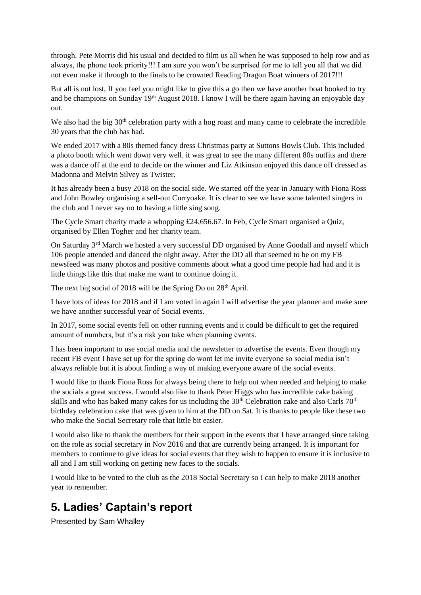through. Pete Morris did his usual and decided to film us all when he was supposed to help row and as always, the phone took priority!!! I am sure you won't be surprised for me to tell you all that we did not even make it through to the finals to be crowned Reading Dragon Boat winners of 2017!!!

But all is not lost, If you feel you might like to give this a go then we have another boat booked to try and be champions on Sunday 19<sup>th</sup> August 2018. I know I will be there again having an enjoyable day out.

We also had the big  $30<sup>th</sup>$  celebration party with a hog roast and many came to celebrate the incredible 30 years that the club has had.

We ended 2017 with a 80s themed fancy dress Christmas party at Suttons Bowls Club. This included a photo booth which went down very well. it was great to see the many different 80s outfits and there was a dance off at the end to decide on the winner and Liz Atkinson enjoyed this dance off dressed as Madonna and Melvin Silvey as Twister.

It has already been a busy 2018 on the social side. We started off the year in January with Fiona Ross and John Bowley organising a sell-out Curryoake. It is clear to see we have some talented singers in the club and I never say no to having a little sing song.

The Cycle Smart charity made a whopping £24,656.67. In Feb, Cycle Smart organised a Quiz, organised by Ellen Togher and her charity team.

On Saturday 3rd March we hosted a very successful DD organised by Anne Goodall and myself which 106 people attended and danced the night away. After the DD all that seemed to be on my FB newsfeed was many photos and positive comments about what a good time people had had and it is little things like this that make me want to continue doing it.

The next big social of 2018 will be the Spring Do on 28<sup>th</sup> April.

I have lots of ideas for 2018 and if I am voted in again I will advertise the year planner and make sure we have another successful year of Social events.

In 2017, some social events fell on other running events and it could be difficult to get the required amount of numbers, but it's a risk you take when planning events.

I has been important to use social media and the newsletter to advertise the events. Even though my recent FB event I have set up for the spring do wont let me invite everyone so social media isn't always reliable but it is about finding a way of making everyone aware of the social events.

I would like to thank Fiona Ross for always being there to help out when needed and helping to make the socials a great success. I would also like to thank Peter Higgs who has incredible cake baking skills and who has baked many cakes for us including the 30<sup>th</sup> Celebration cake and also Carls 70<sup>th</sup> birthday celebration cake that was given to him at the DD on Sat. It is thanks to people like these two who make the Social Secretary role that little bit easier.

I would also like to thank the members for their support in the events that I have arranged since taking on the role as social secretary in Nov 2016 and that are currently being arranged. It is important for members to continue to give ideas for social events that they wish to happen to ensure it is inclusive to all and I am still working on getting new faces to the socials.

I would like to be voted to the club as the 2018 Social Secretary so I can help to make 2018 another year to remember.

## **5. Ladies' Captain's report**

Presented by Sam Whalley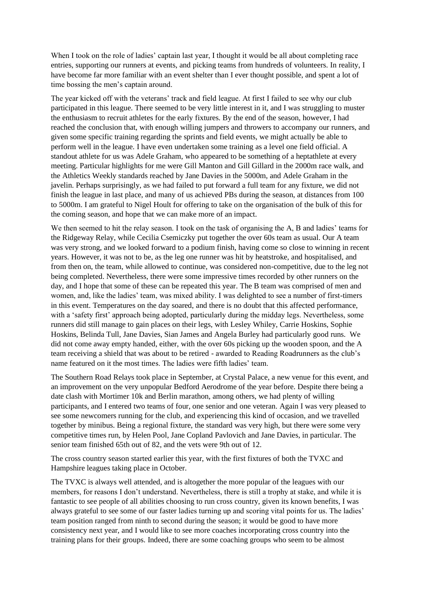When I took on the role of ladies' captain last year, I thought it would be all about completing race entries, supporting our runners at events, and picking teams from hundreds of volunteers. In reality, I have become far more familiar with an event shelter than I ever thought possible, and spent a lot of time bossing the men's captain around.

The year kicked off with the veterans' track and field league. At first I failed to see why our club participated in this league. There seemed to be very little interest in it, and I was struggling to muster the enthusiasm to recruit athletes for the early fixtures. By the end of the season, however, I had reached the conclusion that, with enough willing jumpers and throwers to accompany our runners, and given some specific training regarding the sprints and field events, we might actually be able to perform well in the league. I have even undertaken some training as a level one field official. A standout athlete for us was Adele Graham, who appeared to be something of a heptathlete at every meeting. Particular highlights for me were Gill Manton and Gill Gillard in the 2000m race walk, and the Athletics Weekly standards reached by Jane Davies in the 5000m, and Adele Graham in the javelin. Perhaps surprisingly, as we had failed to put forward a full team for any fixture, we did not finish the league in last place, and many of us achieved PBs during the season, at distances from 100 to 5000m. I am grateful to Nigel Hoult for offering to take on the organisation of the bulk of this for the coming season, and hope that we can make more of an impact.

We then seemed to hit the relay season. I took on the task of organising the A, B and ladies' teams for the Ridgeway Relay, while Cecilia Csemiczky put together the over 60s team as usual. Our A team was very strong, and we looked forward to a podium finish, having come so close to winning in recent years. However, it was not to be, as the leg one runner was hit by heatstroke, and hospitalised, and from then on, the team, while allowed to continue, was considered non-competitive, due to the leg not being completed. Nevertheless, there were some impressive times recorded by other runners on the day, and I hope that some of these can be repeated this year. The B team was comprised of men and women, and, like the ladies' team, was mixed ability. I was delighted to see a number of first-timers in this event. Temperatures on the day soared, and there is no doubt that this affected performance, with a 'safety first' approach being adopted, particularly during the midday legs. Nevertheless, some runners did still manage to gain places on their legs, with Lesley Whiley, Carrie Hoskins, Sophie Hoskins, Belinda Tull, Jane Davies, Sian James and Angela Burley had particularly good runs. We did not come away empty handed, either, with the over 60s picking up the wooden spoon, and the A team receiving a shield that was about to be retired - awarded to Reading Roadrunners as the club's name featured on it the most times. The ladies were fifth ladies' team.

The Southern Road Relays took place in September, at Crystal Palace, a new venue for this event, and an improvement on the very unpopular Bedford Aerodrome of the year before. Despite there being a date clash with Mortimer 10k and Berlin marathon, among others, we had plenty of willing participants, and I entered two teams of four, one senior and one veteran. Again I was very pleased to see some newcomers running for the club, and experiencing this kind of occasion, and we travelled together by minibus. Being a regional fixture, the standard was very high, but there were some very competitive times run, by Helen Pool, Jane Copland Pavlovich and Jane Davies, in particular. The senior team finished 65th out of 82, and the vets were 9th out of 12.

The cross country season started earlier this year, with the first fixtures of both the TVXC and Hampshire leagues taking place in October.

The TVXC is always well attended, and is altogether the more popular of the leagues with our members, for reasons I don't understand. Nevertheless, there is still a trophy at stake, and while it is fantastic to see people of all abilities choosing to run cross country, given its known benefits, I was always grateful to see some of our faster ladies turning up and scoring vital points for us. The ladies' team position ranged from ninth to second during the season; it would be good to have more consistency next year, and I would like to see more coaches incorporating cross country into the training plans for their groups. Indeed, there are some coaching groups who seem to be almost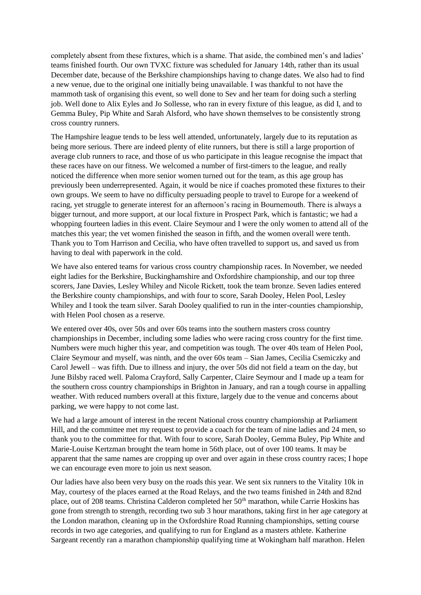completely absent from these fixtures, which is a shame. That aside, the combined men's and ladies' teams finished fourth. Our own TVXC fixture was scheduled for January 14th, rather than its usual December date, because of the Berkshire championships having to change dates. We also had to find a new venue, due to the original one initially being unavailable. I was thankful to not have the mammoth task of organising this event, so well done to Sev and her team for doing such a sterling job. Well done to Alix Eyles and Jo Sollesse, who ran in every fixture of this league, as did I, and to Gemma Buley, Pip White and Sarah Alsford, who have shown themselves to be consistently strong cross country runners.

The Hampshire league tends to be less well attended, unfortunately, largely due to its reputation as being more serious. There are indeed plenty of elite runners, but there is still a large proportion of average club runners to race, and those of us who participate in this league recognise the impact that these races have on our fitness. We welcomed a number of first-timers to the league, and really noticed the difference when more senior women turned out for the team, as this age group has previously been underrepresented. Again, it would be nice if coaches promoted these fixtures to their own groups. We seem to have no difficulty persuading people to travel to Europe for a weekend of racing, yet struggle to generate interest for an afternoon's racing in Bournemouth. There is always a bigger turnout, and more support, at our local fixture in Prospect Park, which is fantastic; we had a whopping fourteen ladies in this event. Claire Seymour and I were the only women to attend all of the matches this year; the vet women finished the season in fifth, and the women overall were tenth. Thank you to Tom Harrison and Cecilia, who have often travelled to support us, and saved us from having to deal with paperwork in the cold.

We have also entered teams for various cross country championship races. In November, we needed eight ladies for the Berkshire, Buckinghamshire and Oxfordshire championship, and our top three scorers, Jane Davies, Lesley Whiley and Nicole Rickett, took the team bronze. Seven ladies entered the Berkshire county championships, and with four to score, Sarah Dooley, Helen Pool, Lesley Whiley and I took the team silver. Sarah Dooley qualified to run in the inter-counties championship, with Helen Pool chosen as a reserve.

We entered over 40s, over 50s and over 60s teams into the southern masters cross country championships in December, including some ladies who were racing cross country for the first time. Numbers were much higher this year, and competition was tough. The over 40s team of Helen Pool, Claire Seymour and myself, was ninth, and the over 60s team – Sian James, Cecilia Csemiczky and Carol Jewell – was fifth. Due to illness and injury, the over 50s did not field a team on the day, but June Bilsby raced well. Paloma Crayford, Sally Carpenter, Claire Seymour and I made up a team for the southern cross country championships in Brighton in January, and ran a tough course in appalling weather. With reduced numbers overall at this fixture, largely due to the venue and concerns about parking, we were happy to not come last.

We had a large amount of interest in the recent National cross country championship at Parliament Hill, and the committee met my request to provide a coach for the team of nine ladies and 24 men, so thank you to the committee for that. With four to score, Sarah Dooley, Gemma Buley, Pip White and Marie-Louise Kertzman brought the team home in 56th place, out of over 100 teams. It may be apparent that the same names are cropping up over and over again in these cross country races; I hope we can encourage even more to join us next season.

Our ladies have also been very busy on the roads this year. We sent six runners to the Vitality 10k in May, courtesy of the places earned at the Road Relays, and the two teams finished in 24th and 82nd place, out of 208 teams. Christina Calderon completed her 50<sup>th</sup> marathon, while Carrie Hoskins has gone from strength to strength, recording two sub 3 hour marathons, taking first in her age category at the London marathon, cleaning up in the Oxfordshire Road Running championships, setting course records in two age categories, and qualifying to run for England as a masters athlete. Katherine Sargeant recently ran a marathon championship qualifying time at Wokingham half marathon. Helen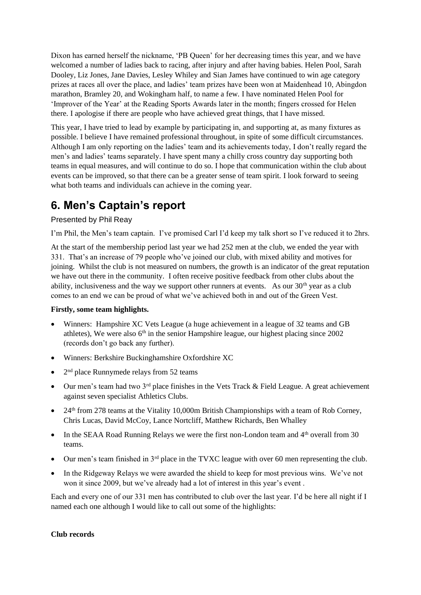Dixon has earned herself the nickname, 'PB Queen' for her decreasing times this year, and we have welcomed a number of ladies back to racing, after injury and after having babies. Helen Pool, Sarah Dooley, Liz Jones, Jane Davies, Lesley Whiley and Sian James have continued to win age category prizes at races all over the place, and ladies' team prizes have been won at Maidenhead 10, Abingdon marathon, Bramley 20, and Wokingham half, to name a few. I have nominated Helen Pool for 'Improver of the Year' at the Reading Sports Awards later in the month; fingers crossed for Helen there. I apologise if there are people who have achieved great things, that I have missed.

This year, I have tried to lead by example by participating in, and supporting at, as many fixtures as possible. I believe I have remained professional throughout, in spite of some difficult circumstances. Although I am only reporting on the ladies' team and its achievements today, I don't really regard the men's and ladies' teams separately. I have spent many a chilly cross country day supporting both teams in equal measures, and will continue to do so. I hope that communication within the club about events can be improved, so that there can be a greater sense of team spirit. I look forward to seeing what both teams and individuals can achieve in the coming year.

## **6. Men's Captain's report**

### Presented by Phil Reay

I'm Phil, the Men's team captain. I've promised Carl I'd keep my talk short so I've reduced it to 2hrs.

At the start of the membership period last year we had 252 men at the club, we ended the year with 331. That's an increase of 79 people who've joined our club, with mixed ability and motives for joining. Whilst the club is not measured on numbers, the growth is an indicator of the great reputation we have out there in the community. I often receive positive feedback from other clubs about the ability, inclusiveness and the way we support other runners at events. As our  $30<sup>th</sup>$  year as a club comes to an end we can be proud of what we've achieved both in and out of the Green Vest.

#### **Firstly, some team highlights.**

- Winners: Hampshire XC Vets League (a huge achievement in a league of 32 teams and GB athletes), We were also 6<sup>th</sup> in the senior Hampshire league, our highest placing since 2002 (records don't go back any further).
- Winners: Berkshire Buckinghamshire Oxfordshire XC
- 2<sup>nd</sup> place Runnymede relays from 52 teams
- Our men's team had two  $3<sup>rd</sup>$  place finishes in the Vets Track & Field League. A great achievement against seven specialist Athletics Clubs.
- 24<sup>th</sup> from 278 teams at the Vitality 10,000m British Championships with a team of Rob Corney, Chris Lucas, David McCoy, Lance Nortcliff, Matthew Richards, Ben Whalley
- In the SEAA Road Running Relays we were the first non-London team and 4<sup>th</sup> overall from 30 teams.
- Our men's team finished in 3<sup>rd</sup> place in the TVXC league with over 60 men representing the club.
- In the Ridgeway Relays we were awarded the shield to keep for most previous wins. We've not won it since 2009, but we've already had a lot of interest in this year's event .

Each and every one of our 331 men has contributed to club over the last year. I'd be here all night if I named each one although I would like to call out some of the highlights:

#### **Club records**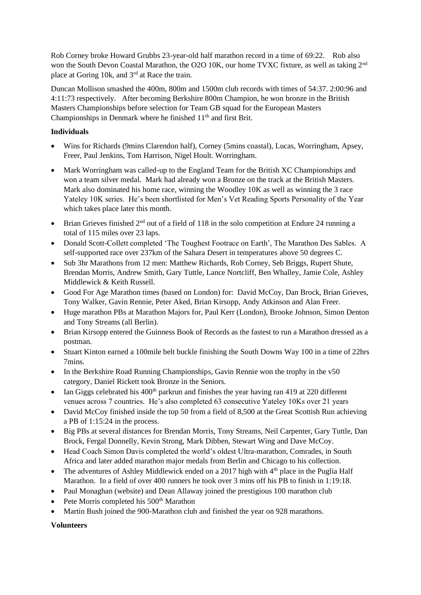Rob Corney broke Howard Grubbs 23-year-old half marathon record in a time of 69:22. Rob also won the South Devon Coastal Marathon, the O2O 10K, our home TVXC fixture, as well as taking 2<sup>nd</sup> place at Goring 10k, and 3rd at Race the train.

Duncan Mollison smashed the 400m, 800m and 1500m club records with times of 54:37. 2:00:96 and 4:11:73 respectively. After becoming Berkshire 800m Champion, he won bronze in the British Masters Championships before selection for Team GB squad for the European Masters Championships in Denmark where he finished 11<sup>th</sup> and first Brit.

### **Individuals**

- Wins for Richards (9mins Clarendon half), Corney (5mins coastal), Lucas, Worringham, Apsey, Freer, Paul Jenkins, Tom Harrison, Nigel Hoult. Worringham.
- Mark Worringham was called-up to the England Team for the British XC Championships and won a team silver medal. Mark had already won a Bronze on the track at the British Masters. Mark also dominated his home race, winning the Woodley 10K as well as winning the 3 race Yateley 10K series. He's been shortlisted for Men's Vet Reading Sports Personality of the Year which takes place later this month.
- Brian Grieves finished  $2<sup>nd</sup>$  out of a field of 118 in the solo competition at Endure 24 running a total of 115 miles over 23 laps.
- Donald Scott-Collett completed 'The Toughest Footrace on Earth', The Marathon Des Sables. A self-supported race over 237km of the Sahara Desert in temperatures above 50 degrees C.
- Sub 3hr Marathons from 12 men: Matthew Richards, Rob Corney, Seb Briggs, Rupert Shute, Brendan Morris, Andrew Smith, Gary Tuttle, Lance Nortcliff, Ben Whalley, Jamie Cole, Ashley Middlewick & Keith Russell.
- Good For Age Marathon times (based on London) for: David McCoy, Dan Brock, Brian Grieves, Tony Walker, Gavin Rennie, Peter Aked, Brian Kirsopp, Andy Atkinson and Alan Freer.
- Huge marathon PBs at Marathon Majors for, Paul Kerr (London), Brooke Johnson, Simon Denton and Tony Streams (all Berlin).
- Brian Kirsopp entered the Guinness Book of Records as the fastest to run a Marathon dressed as a postman.
- Stuart Kinton earned a 100mile belt buckle finishing the South Downs Way 100 in a time of 22hrs 7mins.
- In the Berkshire Road Running Championships, Gavin Rennie won the trophy in the v50 category, Daniel Rickett took Bronze in the Seniors.
- Ian Giggs celebrated his  $400<sup>th</sup>$  parkrun and finishes the year having ran 419 at 220 different venues across 7 countries. He's also completed 63 consecutive Yateley 10Ks over 21 years
- David McCoy finished inside the top 50 from a field of 8,500 at the Great Scottish Run achieving a PB of 1:15:24 in the process.
- Big PBs at several distances for Brendan Morris, Tony Streams, Neil Carpenter, Gary Tuttle, Dan Brock, Fergal Donnelly, Kevin Strong, Mark Dibben, Stewart Wing and Dave McCoy.
- Head Coach Simon Davis completed the world's oldest Ultra-marathon, Comrades, in South Africa and later added marathon major medals from Berlin and Chicago to his collection.
- The adventures of Ashley Middlewick ended on a 2017 high with  $4<sup>th</sup>$  place in the Puglia Half Marathon. In a field of over 400 runners he took over 3 mins off his PB to finish in 1:19:18.
- Paul Monaghan (website) and Dean Allaway joined the prestigious 100 marathon club
- Pete Morris completed his  $500<sup>th</sup>$  Marathon
- Martin Bush joined the 900-Marathon club and finished the year on 928 marathons.

#### **Volunteers**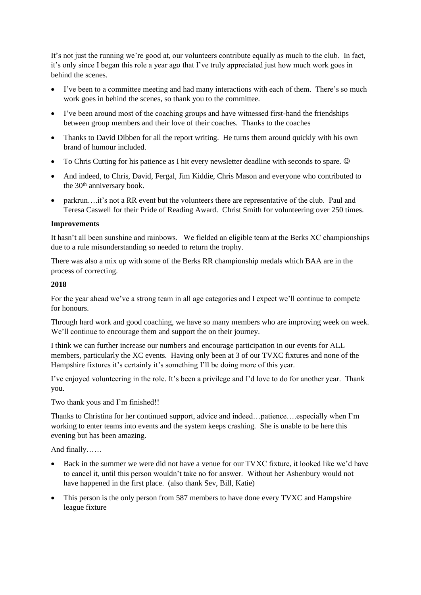It's not just the running we're good at, our volunteers contribute equally as much to the club. In fact, it's only since I began this role a year ago that I've truly appreciated just how much work goes in behind the scenes.

- I've been to a committee meeting and had many interactions with each of them. There's so much work goes in behind the scenes, so thank you to the committee.
- I've been around most of the coaching groups and have witnessed first-hand the friendships between group members and their love of their coaches. Thanks to the coaches
- Thanks to David Dibben for all the report writing. He turns them around quickly with his own brand of humour included.
- To Chris Cutting for his patience as I hit every newsletter deadline with seconds to spare.  $\odot$
- And indeed, to Chris, David, Fergal, Jim Kiddie, Chris Mason and everyone who contributed to the 30<sup>th</sup> anniversary book.
- parkrun….it's not a RR event but the volunteers there are representative of the club. Paul and Teresa Caswell for their Pride of Reading Award. Christ Smith for volunteering over 250 times.

#### **Improvements**

It hasn't all been sunshine and rainbows. We fielded an eligible team at the Berks XC championships due to a rule misunderstanding so needed to return the trophy.

There was also a mix up with some of the Berks RR championship medals which BAA are in the process of correcting.

#### **2018**

For the year ahead we've a strong team in all age categories and I expect we'll continue to compete for honours.

Through hard work and good coaching, we have so many members who are improving week on week. We'll continue to encourage them and support the on their journey.

I think we can further increase our numbers and encourage participation in our events for ALL members, particularly the XC events. Having only been at 3 of our TVXC fixtures and none of the Hampshire fixtures it's certainly it's something I'll be doing more of this year.

I've enjoyed volunteering in the role. It's been a privilege and I'd love to do for another year. Thank you.

Two thank yous and I'm finished!!

Thanks to Christina for her continued support, advice and indeed…patience….especially when I'm working to enter teams into events and the system keeps crashing. She is unable to be here this evening but has been amazing.

And finally……

- Back in the summer we were did not have a venue for our TVXC fixture, it looked like we'd have to cancel it, until this person wouldn't take no for answer. Without her Ashenbury would not have happened in the first place. (also thank Sev, Bill, Katie)
- This person is the only person from 587 members to have done every TVXC and Hampshire league fixture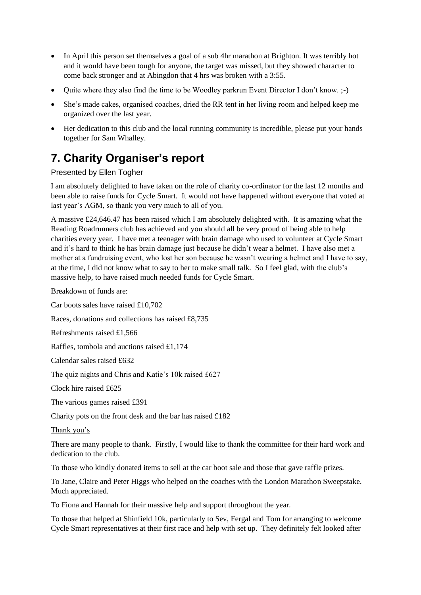- In April this person set themselves a goal of a sub 4hr marathon at Brighton. It was terribly hot and it would have been tough for anyone, the target was missed, but they showed character to come back stronger and at Abingdon that 4 hrs was broken with a 3:55.
- Quite where they also find the time to be Woodley parkrun Event Director I don't know. ;-)
- She's made cakes, organised coaches, dried the RR tent in her living room and helped keep me organized over the last year.
- Her dedication to this club and the local running community is incredible, please put your hands together for Sam Whalley.

# **7. Charity Organiser's report**

### Presented by Ellen Togher

I am absolutely delighted to have taken on the role of charity co-ordinator for the last 12 months and been able to raise funds for Cycle Smart. It would not have happened without everyone that voted at last year's AGM, so thank you very much to all of you.

A massive £24,646.47 has been raised which I am absolutely delighted with. It is amazing what the Reading Roadrunners club has achieved and you should all be very proud of being able to help charities every year. I have met a teenager with brain damage who used to volunteer at Cycle Smart and it's hard to think he has brain damage just because he didn't wear a helmet. I have also met a mother at a fundraising event, who lost her son because he wasn't wearing a helmet and I have to say, at the time, I did not know what to say to her to make small talk. So I feel glad, with the club's massive help, to have raised much needed funds for Cycle Smart.

Breakdown of funds are:

Car boots sales have raised £10,702

Races, donations and collections has raised £8,735

Refreshments raised £1,566

Raffles, tombola and auctions raised £1,174

Calendar sales raised £632

The quiz nights and Chris and Katie's 10k raised £627

Clock hire raised £625

The various games raised £391

Charity pots on the front desk and the bar has raised £182

#### Thank you's

There are many people to thank. Firstly, I would like to thank the committee for their hard work and dedication to the club.

To those who kindly donated items to sell at the car boot sale and those that gave raffle prizes.

To Jane, Claire and Peter Higgs who helped on the coaches with the London Marathon Sweepstake. Much appreciated.

To Fiona and Hannah for their massive help and support throughout the year.

To those that helped at Shinfield 10k, particularly to Sev, Fergal and Tom for arranging to welcome Cycle Smart representatives at their first race and help with set up. They definitely felt looked after